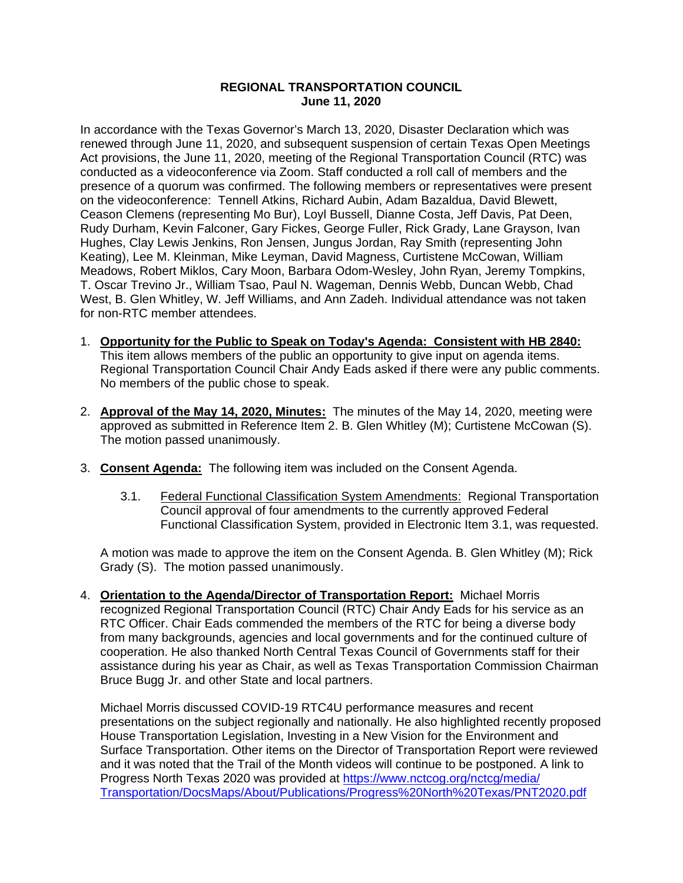## **REGIONAL TRANSPORTATION COUNCIL June 11, 2020**

In accordance with the Texas Governor's March 13, 2020, Disaster Declaration which was renewed through June 11, 2020, and subsequent suspension of certain Texas Open Meetings Act provisions, the June 11, 2020, meeting of the Regional Transportation Council (RTC) was conducted as a videoconference via Zoom. Staff conducted a roll call of members and the presence of a quorum was confirmed. The following members or representatives were present on the videoconference: Tennell Atkins, Richard Aubin, Adam Bazaldua, David Blewett, Ceason Clemens (representing Mo Bur), Loyl Bussell, Dianne Costa, Jeff Davis, Pat Deen, Rudy Durham, Kevin Falconer, Gary Fickes, George Fuller, Rick Grady, Lane Grayson, Ivan Hughes, Clay Lewis Jenkins, Ron Jensen, Jungus Jordan, Ray Smith (representing John Keating), Lee M. Kleinman, Mike Leyman, David Magness, Curtistene McCowan, William Meadows, Robert Miklos, Cary Moon, Barbara Odom-Wesley, John Ryan, Jeremy Tompkins, T. Oscar Trevino Jr., William Tsao, Paul N. Wageman, Dennis Webb, Duncan Webb, Chad West, B. Glen Whitley, W. Jeff Williams, and Ann Zadeh. Individual attendance was not taken for non-RTC member attendees.

- 1. **Opportunity for the Public to Speak on Today's Agenda: Consistent with HB 2840:** This item allows members of the public an opportunity to give input on agenda items. Regional Transportation Council Chair Andy Eads asked if there were any public comments. No members of the public chose to speak.
- 2. **Approval of the May 14, 2020, Minutes:** The minutes of the May 14, 2020, meeting were approved as submitted in Reference Item 2. B. Glen Whitley (M); Curtistene McCowan (S). The motion passed unanimously.
- 3. **Consent Agenda:** The following item was included on the Consent Agenda.
	- 3.1. Federal Functional Classification System Amendments: Regional Transportation Council approval of four amendments to the currently approved Federal Functional Classification System, provided in Electronic Item 3.1, was requested.

A motion was made to approve the item on the Consent Agenda. B. Glen Whitley (M); Rick Grady (S). The motion passed unanimously.

4. **Orientation to the Agenda/Director of Transportation Report:** Michael Morris recognized Regional Transportation Council (RTC) Chair Andy Eads for his service as an RTC Officer. Chair Eads commended the members of the RTC for being a diverse body from many backgrounds, agencies and local governments and for the continued culture of cooperation. He also thanked North Central Texas Council of Governments staff for their assistance during his year as Chair, as well as Texas Transportation Commission Chairman Bruce Bugg Jr. and other State and local partners.

Michael Morris discussed COVID-19 RTC4U performance measures and recent presentations on the subject regionally and nationally. He also highlighted recently proposed House Transportation Legislation, Investing in a New Vision for the Environment and Surface Transportation. Other items on the Director of Transportation Report were reviewed and it was noted that the Trail of the Month videos will continue to be postponed. A link to Progress North Texas 2020 was provided at [https://www.nctcog.org/nctcg/media/](https://www.nctcog.org/nctcg/media/Transportation/DocsMaps/About/Publications/Progress%20North%20Texas/PNT2020.pdf) [Transportation/DocsMaps/About/Publications/Progress%20North%20Texas/PNT2020.pdf](https://www.nctcog.org/nctcg/media/Transportation/DocsMaps/About/Publications/Progress%20North%20Texas/PNT2020.pdf)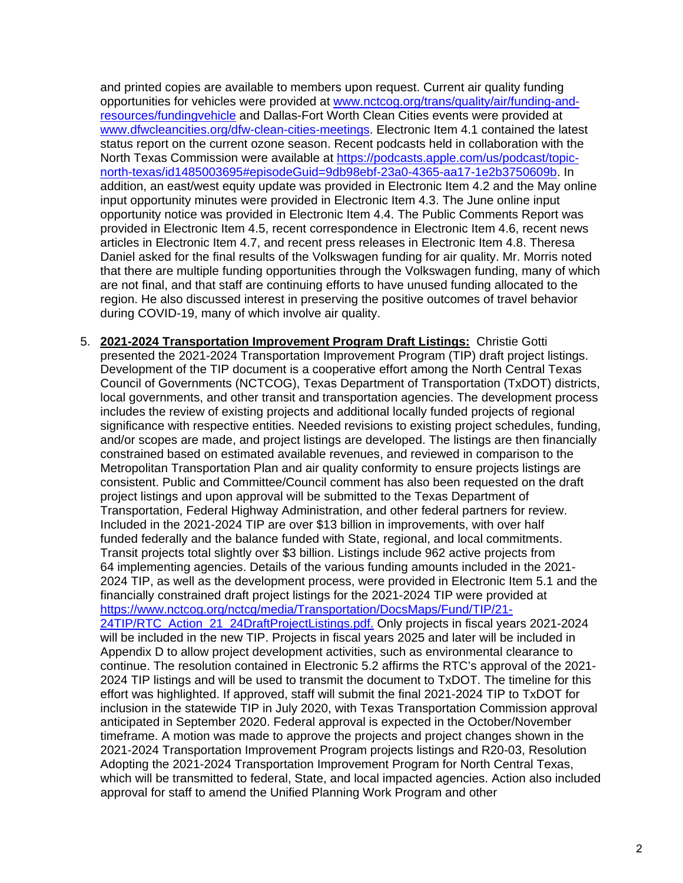and printed copies are available to members upon request. Current air quality funding opportunities for vehicles were provided at [www.nctcog.org/trans/quality/air/funding-and](http://www.nctcog.org/trans/quality/air/funding-and-resources/fundingvehicle)[resources/fundingvehicle](http://www.nctcog.org/trans/quality/air/funding-and-resources/fundingvehicle) and Dallas-Fort Worth Clean Cities events were provided at [www.dfwcleancities.org/dfw-clean-cities-meetings.](http://www.dfwcleancities.org/dfw-clean-cities-meetings) Electronic Item 4.1 contained the latest status report on the current ozone season. Recent podcasts held in collaboration with the North Texas Commission were available at [https://podcasts.apple.com/us/podcast/topic](https://podcasts.apple.com/us/podcast/topic-north-texas/id1485003695#episodeGuid=9db98ebf-23a0-4365-aa17-1e2b3750609b)[north-texas/id1485003695#episodeGuid=9db98ebf-23a0-4365-aa17-1e2b3750609b.](https://podcasts.apple.com/us/podcast/topic-north-texas/id1485003695#episodeGuid=9db98ebf-23a0-4365-aa17-1e2b3750609b) In addition, an east/west equity update was provided in Electronic Item 4.2 and the May online input opportunity minutes were provided in Electronic Item 4.3. The June online input opportunity notice was provided in Electronic Item 4.4. The Public Comments Report was provided in Electronic Item 4.5, recent correspondence in Electronic Item 4.6, recent news articles in Electronic Item 4.7, and recent press releases in Electronic Item 4.8. Theresa Daniel asked for the final results of the Volkswagen funding for air quality. Mr. Morris noted that there are multiple funding opportunities through the Volkswagen funding, many of which are not final, and that staff are continuing efforts to have unused funding allocated to the region. He also discussed interest in preserving the positive outcomes of travel behavior during COVID-19, many of which involve air quality.

5. **2021-2024 Transportation Improvement Program Draft Listings:** Christie Gotti presented the 2021-2024 Transportation Improvement Program (TIP) draft project listings. Development of the TIP document is a cooperative effort among the North Central Texas Council of Governments (NCTCOG), Texas Department of Transportation (TxDOT) districts, local governments, and other transit and transportation agencies. The development process includes the review of existing projects and additional locally funded projects of regional significance with respective entities. Needed revisions to existing project schedules, funding, and/or scopes are made, and project listings are developed. The listings are then financially constrained based on estimated available revenues, and reviewed in comparison to the Metropolitan Transportation Plan and air quality conformity to ensure projects listings are consistent. Public and Committee/Council comment has also been requested on the draft project listings and upon approval will be submitted to the Texas Department of Transportation, Federal Highway Administration, and other federal partners for review. Included in the 2021-2024 TIP are over \$13 billion in improvements, with over half funded federally and the balance funded with State, regional, and local commitments. Transit projects total slightly over \$3 billion. Listings include 962 active projects from 64 implementing agencies. Details of the various funding amounts included in the 2021- 2024 TIP, as well as the development process, were provided in Electronic Item 5.1 and the financially constrained draft project listings for the 2021-2024 TIP were provided at [https://www.nctcog.org/nctcg/media/Transportation/DocsMaps/Fund/TIP/21-](https://www.nctcog.org/nctcg/media/Transportation/DocsMaps/Fund/TIP/21-24TIP/RTC_Action_21_24DraftProjectListings.pdf) [24TIP/RTC\\_Action\\_21\\_24DraftProjectListings.pdf.](https://www.nctcog.org/nctcg/media/Transportation/DocsMaps/Fund/TIP/21-24TIP/RTC_Action_21_24DraftProjectListings.pdf) Only projects in fiscal years 2021-2024 will be included in the new TIP. Projects in fiscal years 2025 and later will be included in Appendix D to allow project development activities, such as environmental clearance to continue. The resolution contained in Electronic 5.2 affirms the RTC's approval of the 2021- 2024 TIP listings and will be used to transmit the document to TxDOT. The timeline for this effort was highlighted. If approved, staff will submit the final 2021-2024 TIP to TxDOT for inclusion in the statewide TIP in July 2020, with Texas Transportation Commission approval anticipated in September 2020. Federal approval is expected in the October/November timeframe. A motion was made to approve the projects and project changes shown in the 2021-2024 Transportation Improvement Program projects listings and R20-03, Resolution Adopting the 2021-2024 Transportation Improvement Program for North Central Texas, which will be transmitted to federal, State, and local impacted agencies. Action also included approval for staff to amend the Unified Planning Work Program and other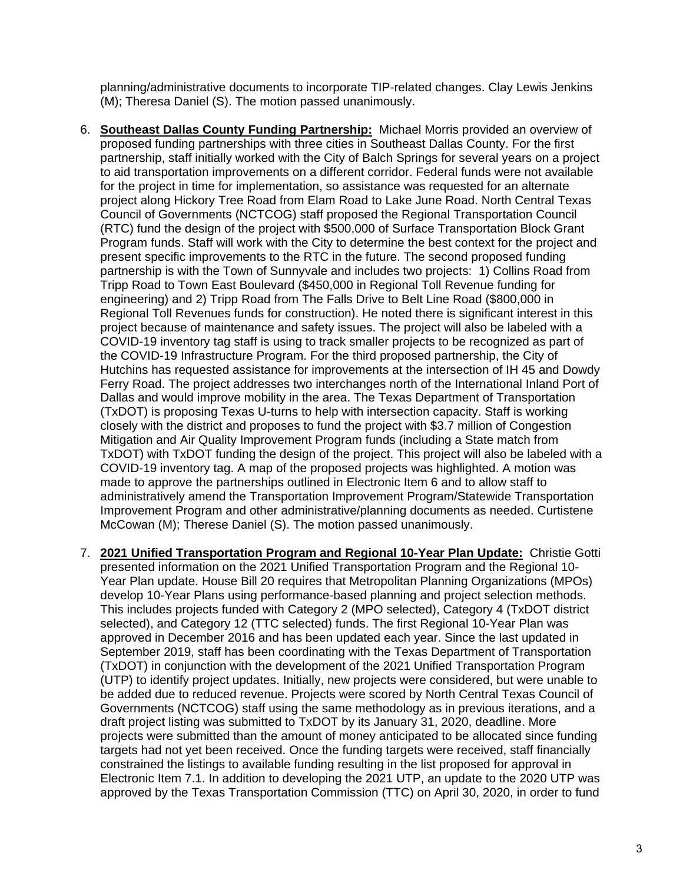planning/administrative documents to incorporate TIP-related changes. Clay Lewis Jenkins (M); Theresa Daniel (S). The motion passed unanimously.

- 6. **Southeast Dallas County Funding Partnership:** Michael Morris provided an overview of proposed funding partnerships with three cities in Southeast Dallas County. For the first partnership, staff initially worked with the City of Balch Springs for several years on a project to aid transportation improvements on a different corridor. Federal funds were not available for the project in time for implementation, so assistance was requested for an alternate project along Hickory Tree Road from Elam Road to Lake June Road. North Central Texas Council of Governments (NCTCOG) staff proposed the Regional Transportation Council (RTC) fund the design of the project with \$500,000 of Surface Transportation Block Grant Program funds. Staff will work with the City to determine the best context for the project and present specific improvements to the RTC in the future. The second proposed funding partnership is with the Town of Sunnyvale and includes two projects: 1) Collins Road from Tripp Road to Town East Boulevard (\$450,000 in Regional Toll Revenue funding for engineering) and 2) Tripp Road from The Falls Drive to Belt Line Road (\$800,000 in Regional Toll Revenues funds for construction). He noted there is significant interest in this project because of maintenance and safety issues. The project will also be labeled with a COVID-19 inventory tag staff is using to track smaller projects to be recognized as part of the COVID-19 Infrastructure Program. For the third proposed partnership, the City of Hutchins has requested assistance for improvements at the intersection of IH 45 and Dowdy Ferry Road. The project addresses two interchanges north of the International Inland Port of Dallas and would improve mobility in the area. The Texas Department of Transportation (TxDOT) is proposing Texas U-turns to help with intersection capacity. Staff is working closely with the district and proposes to fund the project with \$3.7 million of Congestion Mitigation and Air Quality Improvement Program funds (including a State match from TxDOT) with TxDOT funding the design of the project. This project will also be labeled with a COVID-19 inventory tag. A map of the proposed projects was highlighted. A motion was made to approve the partnerships outlined in Electronic Item 6 and to allow staff to administratively amend the Transportation Improvement Program/Statewide Transportation Improvement Program and other administrative/planning documents as needed. Curtistene McCowan (M); Therese Daniel (S). The motion passed unanimously.
- 7. **2021 Unified Transportation Program and Regional 10-Year Plan Update:** Christie Gotti presented information on the 2021 Unified Transportation Program and the Regional 10- Year Plan update. House Bill 20 requires that Metropolitan Planning Organizations (MPOs) develop 10-Year Plans using performance-based planning and project selection methods. This includes projects funded with Category 2 (MPO selected), Category 4 (TxDOT district selected), and Category 12 (TTC selected) funds. The first Regional 10-Year Plan was approved in December 2016 and has been updated each year. Since the last updated in September 2019, staff has been coordinating with the Texas Department of Transportation (TxDOT) in conjunction with the development of the 2021 Unified Transportation Program (UTP) to identify project updates. Initially, new projects were considered, but were unable to be added due to reduced revenue. Projects were scored by North Central Texas Council of Governments (NCTCOG) staff using the same methodology as in previous iterations, and a draft project listing was submitted to TxDOT by its January 31, 2020, deadline. More projects were submitted than the amount of money anticipated to be allocated since funding targets had not yet been received. Once the funding targets were received, staff financially constrained the listings to available funding resulting in the list proposed for approval in Electronic Item 7.1. In addition to developing the 2021 UTP, an update to the 2020 UTP was approved by the Texas Transportation Commission (TTC) on April 30, 2020, in order to fund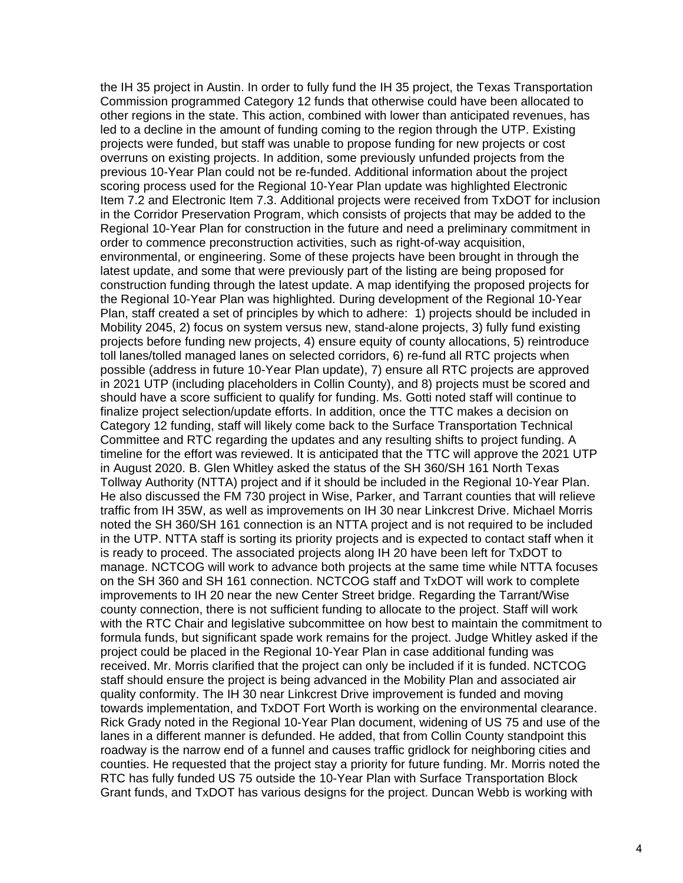the IH 35 project in Austin. In order to fully fund the IH 35 project, the Texas Transportation Commission programmed Category 12 funds that otherwise could have been allocated to other regions in the state. This action, combined with lower than anticipated revenues, has led to a decline in the amount of funding coming to the region through the UTP. Existing projects were funded, but staff was unable to propose funding for new projects or cost overruns on existing projects. In addition, some previously unfunded projects from the previous 10-Year Plan could not be re-funded. Additional information about the project scoring process used for the Regional 10-Year Plan update was highlighted Electronic Item 7.2 and Electronic Item 7.3. Additional projects were received from TxDOT for inclusion in the Corridor Preservation Program, which consists of projects that may be added to the Regional 10-Year Plan for construction in the future and need a preliminary commitment in order to commence preconstruction activities, such as right-of-way acquisition, environmental, or engineering. Some of these projects have been brought in through the latest update, and some that were previously part of the listing are being proposed for construction funding through the latest update. A map identifying the proposed projects for the Regional 10-Year Plan was highlighted. During development of the Regional 10-Year Plan, staff created a set of principles by which to adhere: 1) projects should be included in Mobility 2045, 2) focus on system versus new, stand-alone projects, 3) fully fund existing projects before funding new projects, 4) ensure equity of county allocations, 5) reintroduce toll lanes/tolled managed lanes on selected corridors, 6) re-fund all RTC projects when possible (address in future 10-Year Plan update), 7) ensure all RTC projects are approved in 2021 UTP (including placeholders in Collin County), and 8) projects must be scored and should have a score sufficient to qualify for funding. Ms. Gotti noted staff will continue to finalize project selection/update efforts. In addition, once the TTC makes a decision on Category 12 funding, staff will likely come back to the Surface Transportation Technical Committee and RTC regarding the updates and any resulting shifts to project funding. A timeline for the effort was reviewed. It is anticipated that the TTC will approve the 2021 UTP in August 2020. B. Glen Whitley asked the status of the SH 360/SH 161 North Texas Tollway Authority (NTTA) project and if it should be included in the Regional 10-Year Plan. He also discussed the FM 730 project in Wise, Parker, and Tarrant counties that will relieve traffic from IH 35W, as well as improvements on IH 30 near Linkcrest Drive. Michael Morris noted the SH 360/SH 161 connection is an NTTA project and is not required to be included in the UTP. NTTA staff is sorting its priority projects and is expected to contact staff when it is ready to proceed. The associated projects along IH 20 have been left for TxDOT to manage. NCTCOG will work to advance both projects at the same time while NTTA focuses on the SH 360 and SH 161 connection. NCTCOG staff and TxDOT will work to complete improvements to IH 20 near the new Center Street bridge. Regarding the Tarrant/Wise county connection, there is not sufficient funding to allocate to the project. Staff will work with the RTC Chair and legislative subcommittee on how best to maintain the commitment to formula funds, but significant spade work remains for the project. Judge Whitley asked if the project could be placed in the Regional 10-Year Plan in case additional funding was received. Mr. Morris clarified that the project can only be included if it is funded. NCTCOG staff should ensure the project is being advanced in the Mobility Plan and associated air quality conformity. The IH 30 near Linkcrest Drive improvement is funded and moving towards implementation, and TxDOT Fort Worth is working on the environmental clearance. Rick Grady noted in the Regional 10-Year Plan document, widening of US 75 and use of the lanes in a different manner is defunded. He added, that from Collin County standpoint this roadway is the narrow end of a funnel and causes traffic gridlock for neighboring cities and counties. He requested that the project stay a priority for future funding. Mr. Morris noted the RTC has fully funded US 75 outside the 10-Year Plan with Surface Transportation Block Grant funds, and TxDOT has various designs for the project. Duncan Webb is working with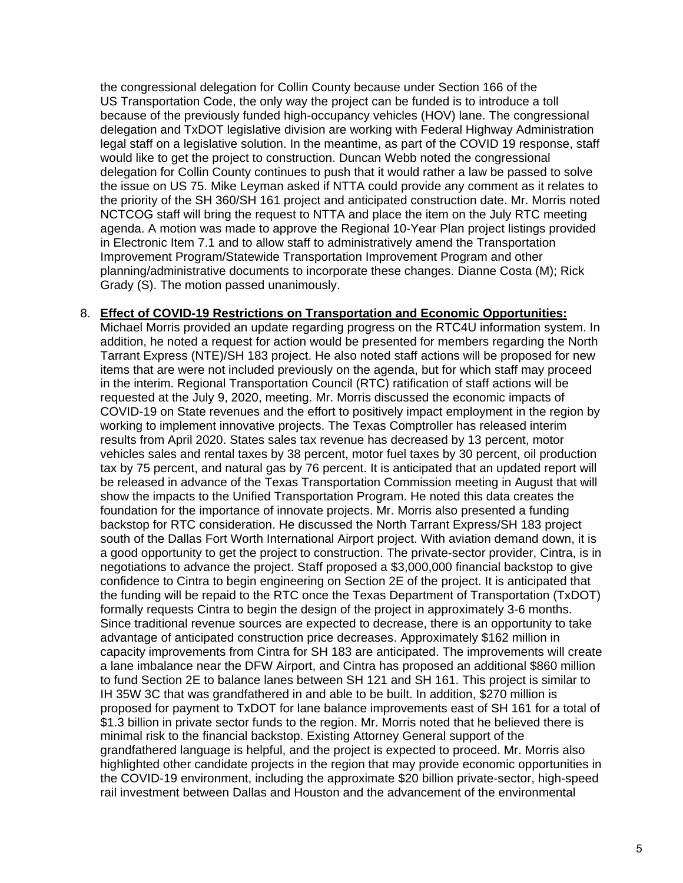the congressional delegation for Collin County because under Section 166 of the US Transportation Code, the only way the project can be funded is to introduce a toll because of the previously funded high-occupancy vehicles (HOV) lane. The congressional delegation and TxDOT legislative division are working with Federal Highway Administration legal staff on a legislative solution. In the meantime, as part of the COVID 19 response, staff would like to get the project to construction. Duncan Webb noted the congressional delegation for Collin County continues to push that it would rather a law be passed to solve the issue on US 75. Mike Leyman asked if NTTA could provide any comment as it relates to the priority of the SH 360/SH 161 project and anticipated construction date. Mr. Morris noted NCTCOG staff will bring the request to NTTA and place the item on the July RTC meeting agenda. A motion was made to approve the Regional 10-Year Plan project listings provided in Electronic Item 7.1 and to allow staff to administratively amend the Transportation Improvement Program/Statewide Transportation Improvement Program and other planning/administrative documents to incorporate these changes. Dianne Costa (M); Rick Grady (S). The motion passed unanimously.

## 8. **Effect of COVID-19 Restrictions on Transportation and Economic Opportunities:**

Michael Morris provided an update regarding progress on the RTC4U information system. In addition, he noted a request for action would be presented for members regarding the North Tarrant Express (NTE)/SH 183 project. He also noted staff actions will be proposed for new items that are were not included previously on the agenda, but for which staff may proceed in the interim. Regional Transportation Council (RTC) ratification of staff actions will be requested at the July 9, 2020, meeting. Mr. Morris discussed the economic impacts of COVID-19 on State revenues and the effort to positively impact employment in the region by working to implement innovative projects. The Texas Comptroller has released interim results from April 2020. States sales tax revenue has decreased by 13 percent, motor vehicles sales and rental taxes by 38 percent, motor fuel taxes by 30 percent, oil production tax by 75 percent, and natural gas by 76 percent. It is anticipated that an updated report will be released in advance of the Texas Transportation Commission meeting in August that will show the impacts to the Unified Transportation Program. He noted this data creates the foundation for the importance of innovate projects. Mr. Morris also presented a funding backstop for RTC consideration. He discussed the North Tarrant Express/SH 183 project south of the Dallas Fort Worth International Airport project. With aviation demand down, it is a good opportunity to get the project to construction. The private-sector provider, Cintra, is in negotiations to advance the project. Staff proposed a \$3,000,000 financial backstop to give confidence to Cintra to begin engineering on Section 2E of the project. It is anticipated that the funding will be repaid to the RTC once the Texas Department of Transportation (TxDOT) formally requests Cintra to begin the design of the project in approximately 3-6 months. Since traditional revenue sources are expected to decrease, there is an opportunity to take advantage of anticipated construction price decreases. Approximately \$162 million in capacity improvements from Cintra for SH 183 are anticipated. The improvements will create a lane imbalance near the DFW Airport, and Cintra has proposed an additional \$860 million to fund Section 2E to balance lanes between SH 121 and SH 161. This project is similar to IH 35W 3C that was grandfathered in and able to be built. In addition, \$270 million is proposed for payment to TxDOT for lane balance improvements east of SH 161 for a total of \$1.3 billion in private sector funds to the region. Mr. Morris noted that he believed there is minimal risk to the financial backstop. Existing Attorney General support of the grandfathered language is helpful, and the project is expected to proceed. Mr. Morris also highlighted other candidate projects in the region that may provide economic opportunities in the COVID-19 environment, including the approximate \$20 billion private-sector, high-speed rail investment between Dallas and Houston and the advancement of the environmental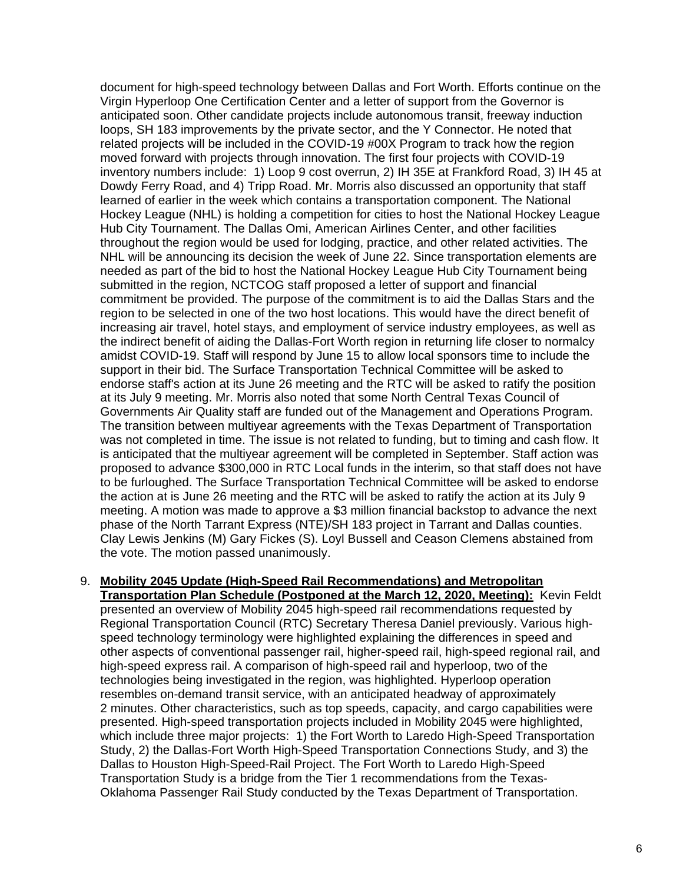document for high-speed technology between Dallas and Fort Worth. Efforts continue on the Virgin Hyperloop One Certification Center and a letter of support from the Governor is anticipated soon. Other candidate projects include autonomous transit, freeway induction loops, SH 183 improvements by the private sector, and the Y Connector. He noted that related projects will be included in the COVID-19 #00X Program to track how the region moved forward with projects through innovation. The first four projects with COVID-19 inventory numbers include: 1) Loop 9 cost overrun, 2) IH 35E at Frankford Road, 3) IH 45 at Dowdy Ferry Road, and 4) Tripp Road. Mr. Morris also discussed an opportunity that staff learned of earlier in the week which contains a transportation component. The National Hockey League (NHL) is holding a competition for cities to host the National Hockey League Hub City Tournament. The Dallas Omi, American Airlines Center, and other facilities throughout the region would be used for lodging, practice, and other related activities. The NHL will be announcing its decision the week of June 22. Since transportation elements are needed as part of the bid to host the National Hockey League Hub City Tournament being submitted in the region, NCTCOG staff proposed a letter of support and financial commitment be provided. The purpose of the commitment is to aid the Dallas Stars and the region to be selected in one of the two host locations. This would have the direct benefit of increasing air travel, hotel stays, and employment of service industry employees, as well as the indirect benefit of aiding the Dallas-Fort Worth region in returning life closer to normalcy amidst COVID-19. Staff will respond by June 15 to allow local sponsors time to include the support in their bid. The Surface Transportation Technical Committee will be asked to endorse staff's action at its June 26 meeting and the RTC will be asked to ratify the position at its July 9 meeting. Mr. Morris also noted that some North Central Texas Council of Governments Air Quality staff are funded out of the Management and Operations Program. The transition between multiyear agreements with the Texas Department of Transportation was not completed in time. The issue is not related to funding, but to timing and cash flow. It is anticipated that the multiyear agreement will be completed in September. Staff action was proposed to advance \$300,000 in RTC Local funds in the interim, so that staff does not have to be furloughed. The Surface Transportation Technical Committee will be asked to endorse the action at is June 26 meeting and the RTC will be asked to ratify the action at its July 9 meeting. A motion was made to approve a \$3 million financial backstop to advance the next phase of the North Tarrant Express (NTE)/SH 183 project in Tarrant and Dallas counties. Clay Lewis Jenkins (M) Gary Fickes (S). Loyl Bussell and Ceason Clemens abstained from the vote. The motion passed unanimously.

9. **Mobility 2045 Update (High-Speed Rail Recommendations) and Metropolitan Transportation Plan Schedule (Postponed at the March 12, 2020, Meeting):** Kevin Feldt presented an overview of Mobility 2045 high-speed rail recommendations requested by Regional Transportation Council (RTC) Secretary Theresa Daniel previously. Various highspeed technology terminology were highlighted explaining the differences in speed and other aspects of conventional passenger rail, higher-speed rail, high-speed regional rail, and high-speed express rail. A comparison of high-speed rail and hyperloop, two of the technologies being investigated in the region, was highlighted. Hyperloop operation resembles on-demand transit service, with an anticipated headway of approximately 2 minutes. Other characteristics, such as top speeds, capacity, and cargo capabilities were presented. High-speed transportation projects included in Mobility 2045 were highlighted, which include three major projects: 1) the Fort Worth to Laredo High-Speed Transportation Study, 2) the Dallas-Fort Worth High-Speed Transportation Connections Study, and 3) the Dallas to Houston High-Speed-Rail Project. The Fort Worth to Laredo High-Speed Transportation Study is a bridge from the Tier 1 recommendations from the Texas-Oklahoma Passenger Rail Study conducted by the Texas Department of Transportation.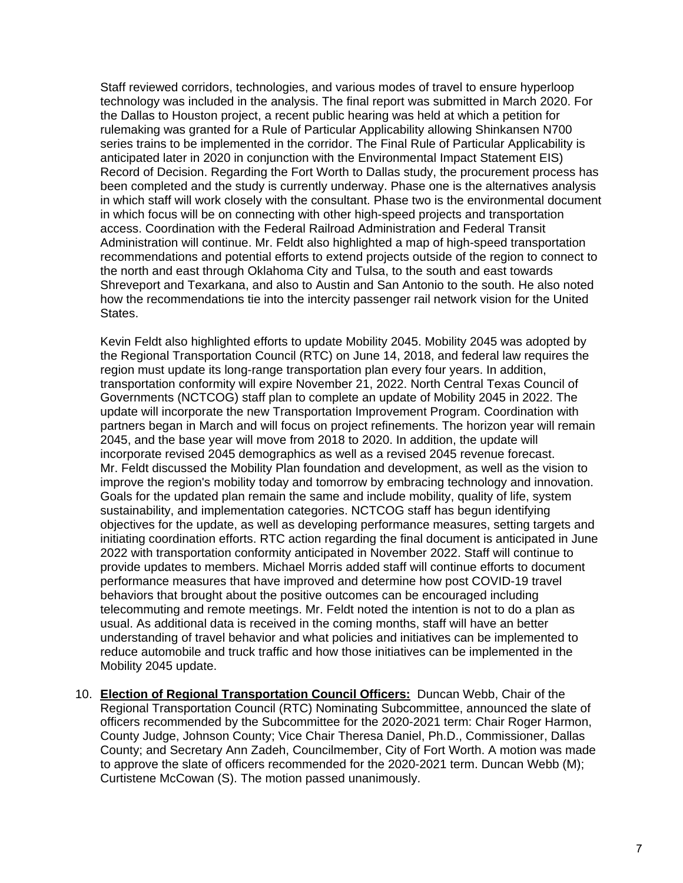Staff reviewed corridors, technologies, and various modes of travel to ensure hyperloop technology was included in the analysis. The final report was submitted in March 2020. For the Dallas to Houston project, a recent public hearing was held at which a petition for rulemaking was granted for a Rule of Particular Applicability allowing Shinkansen N700 series trains to be implemented in the corridor. The Final Rule of Particular Applicability is anticipated later in 2020 in conjunction with the Environmental Impact Statement EIS) Record of Decision. Regarding the Fort Worth to Dallas study, the procurement process has been completed and the study is currently underway. Phase one is the alternatives analysis in which staff will work closely with the consultant. Phase two is the environmental document in which focus will be on connecting with other high-speed projects and transportation access. Coordination with the Federal Railroad Administration and Federal Transit Administration will continue. Mr. Feldt also highlighted a map of high-speed transportation recommendations and potential efforts to extend projects outside of the region to connect to the north and east through Oklahoma City and Tulsa, to the south and east towards Shreveport and Texarkana, and also to Austin and San Antonio to the south. He also noted how the recommendations tie into the intercity passenger rail network vision for the United States.

Kevin Feldt also highlighted efforts to update Mobility 2045. Mobility 2045 was adopted by the Regional Transportation Council (RTC) on June 14, 2018, and federal law requires the region must update its long-range transportation plan every four years. In addition, transportation conformity will expire November 21, 2022. North Central Texas Council of Governments (NCTCOG) staff plan to complete an update of Mobility 2045 in 2022. The update will incorporate the new Transportation Improvement Program. Coordination with partners began in March and will focus on project refinements. The horizon year will remain 2045, and the base year will move from 2018 to 2020. In addition, the update will incorporate revised 2045 demographics as well as a revised 2045 revenue forecast. Mr. Feldt discussed the Mobility Plan foundation and development, as well as the vision to improve the region's mobility today and tomorrow by embracing technology and innovation. Goals for the updated plan remain the same and include mobility, quality of life, system sustainability, and implementation categories. NCTCOG staff has begun identifying objectives for the update, as well as developing performance measures, setting targets and initiating coordination efforts. RTC action regarding the final document is anticipated in June 2022 with transportation conformity anticipated in November 2022. Staff will continue to provide updates to members. Michael Morris added staff will continue efforts to document performance measures that have improved and determine how post COVID-19 travel behaviors that brought about the positive outcomes can be encouraged including telecommuting and remote meetings. Mr. Feldt noted the intention is not to do a plan as usual. As additional data is received in the coming months, staff will have an better understanding of travel behavior and what policies and initiatives can be implemented to reduce automobile and truck traffic and how those initiatives can be implemented in the Mobility 2045 update.

10. **Election of Regional Transportation Council Officers:** Duncan Webb, Chair of the Regional Transportation Council (RTC) Nominating Subcommittee, announced the slate of officers recommended by the Subcommittee for the 2020-2021 term: Chair Roger Harmon, County Judge, Johnson County; Vice Chair Theresa Daniel, Ph.D., Commissioner, Dallas County; and Secretary Ann Zadeh, Councilmember, City of Fort Worth. A motion was made to approve the slate of officers recommended for the 2020-2021 term. Duncan Webb (M); Curtistene McCowan (S). The motion passed unanimously.